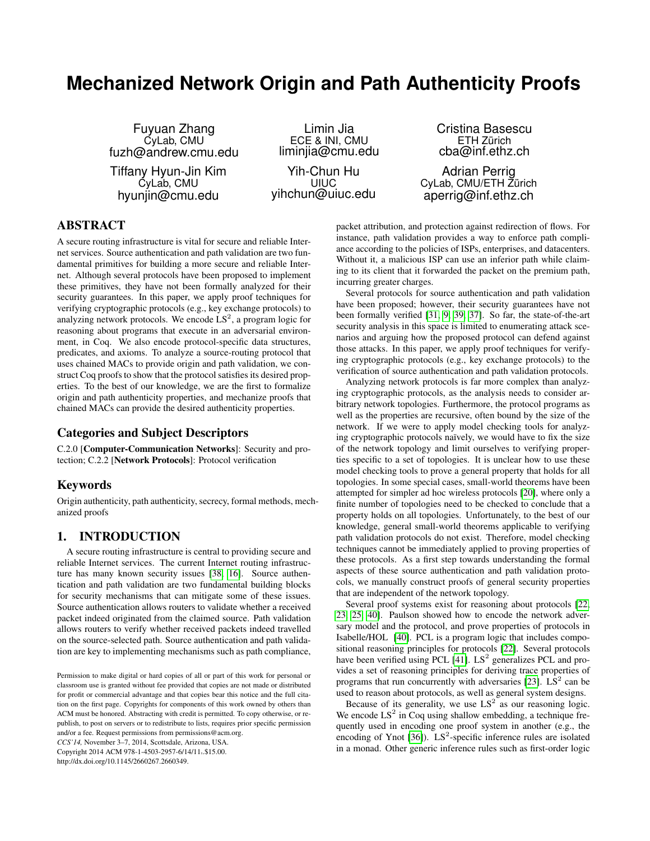# **Mechanized Network Origin and Path Authenticity Proofs**

Fuyuan Zhang CyLab, CMU fuzh@andrew.cmu.edu Tiffany Hyun-Jin Kim

CyLab, CMU hyunjin@cmu.edu

Limin Jia ECE & INI, CMU liminjia@cmu.edu

Yih-Chun Hu UIUC yihchun@uiuc.edu Cristina Basescu ETH Zürich cba@inf.ethz.ch

Adrian Perrig CyLab, CMU/ETH Zürich aperrig@inf.ethz.ch

# ABSTRACT

A secure routing infrastructure is vital for secure and reliable Internet services. Source authentication and path validation are two fundamental primitives for building a more secure and reliable Internet. Although several protocols have been proposed to implement these primitives, they have not been formally analyzed for their security guarantees. In this paper, we apply proof techniques for verifying cryptographic protocols (e.g., key exchange protocols) to analyzing network protocols. We encode  $LS^2$ , a program logic for reasoning about programs that execute in an adversarial environment, in Coq. We also encode protocol-specific data structures, predicates, and axioms. To analyze a source-routing protocol that uses chained MACs to provide origin and path validation, we construct Coq proofs to show that the protocol satisfies its desired properties. To the best of our knowledge, we are the first to formalize origin and path authenticity properties, and mechanize proofs that chained MACs can provide the desired authenticity properties.

# Categories and Subject Descriptors

C.2.0 [Computer-Communication Networks]: Security and protection; C.2.2 [Network Protocols]: Protocol verification

# Keywords

Origin authenticity, path authenticity, secrecy, formal methods, mechanized proofs

# 1. INTRODUCTION

A secure routing infrastructure is central to providing secure and reliable Internet services. The current Internet routing infrastructure has many known security issues [\[38,](#page-11-0) [16\]](#page-11-1). Source authentication and path validation are two fundamental building blocks for security mechanisms that can mitigate some of these issues. Source authentication allows routers to validate whether a received packet indeed originated from the claimed source. Path validation allows routers to verify whether received packets indeed travelled on the source-selected path. Source authentication and path validation are key to implementing mechanisms such as path compliance,

*CCS'14,* November 3–7, 2014, Scottsdale, Arizona, USA. Copyright 2014 ACM 978-1-4503-2957-6/14/11˙ ..\$15.00.

http://dx.doi.org/10.1145/2660267.2660349.

packet attribution, and protection against redirection of flows. For instance, path validation provides a way to enforce path compliance according to the policies of ISPs, enterprises, and datacenters. Without it, a malicious ISP can use an inferior path while claiming to its client that it forwarded the packet on the premium path, incurring greater charges.

Several protocols for source authentication and path validation have been proposed; however, their security guarantees have not been formally verified [\[31,](#page-11-2) [9,](#page-10-0) [39,](#page-11-3) [37\]](#page-11-4). So far, the state-of-the-art security analysis in this space is limited to enumerating attack scenarios and arguing how the proposed protocol can defend against those attacks. In this paper, we apply proof techniques for verifying cryptographic protocols (e.g., key exchange protocols) to the verification of source authentication and path validation protocols.

Analyzing network protocols is far more complex than analyzing cryptographic protocols, as the analysis needs to consider arbitrary network topologies. Furthermore, the protocol programs as well as the properties are recursive, often bound by the size of the network. If we were to apply model checking tools for analyzing cryptographic protocols naïvely, we would have to fix the size of the network topology and limit ourselves to verifying properties specific to a set of topologies. It is unclear how to use these model checking tools to prove a general property that holds for all topologies. In some special cases, small-world theorems have been attempted for simpler ad hoc wireless protocols [\[20\]](#page-11-5), where only a finite number of topologies need to be checked to conclude that a property holds on all topologies. Unfortunately, to the best of our knowledge, general small-world theorems applicable to verifying path validation protocols do not exist. Therefore, model checking techniques cannot be immediately applied to proving properties of these protocols. As a first step towards understanding the formal aspects of these source authentication and path validation protocols, we manually construct proofs of general security properties that are independent of the network topology.

Several proof systems exist for reasoning about protocols [\[22,](#page-11-6) [23,](#page-11-7) [25,](#page-11-8) [40\]](#page-11-9). Paulson showed how to encode the network adversary model and the protocol, and prove properties of protocols in Isabelle/HOL [\[40\]](#page-11-9). PCL is a program logic that includes compositional reasoning principles for protocols [\[22\]](#page-11-6). Several protocols have been verified using PCL  $[41]$ . LS<sup>2</sup> generalizes PCL and provides a set of reasoning principles for deriving trace properties of programs that run concurrently with adversaries [\[23\]](#page-11-7).  $LS^2$  can be used to reason about protocols, as well as general system designs.

Because of its generality, we use  $LS^2$  as our reasoning logic. We encode  $LS<sup>2</sup>$  in Coq using shallow embedding, a technique frequently used in encoding one proof system in another (e.g., the encoding of Ynot [\[36\]](#page-11-11)).  $LS^2$ -specific inference rules are isolated in a monad. Other generic inference rules such as first-order logic

Permission to make digital or hard copies of all or part of this work for personal or classroom use is granted without fee provided that copies are not made or distributed for profit or commercial advantage and that copies bear this notice and the full citation on the first page. Copyrights for components of this work owned by others than ACM must be honored. Abstracting with credit is permitted. To copy otherwise, or republish, to post on servers or to redistribute to lists, requires prior specific permission and/or a fee. Request permissions from permissions@acm.org.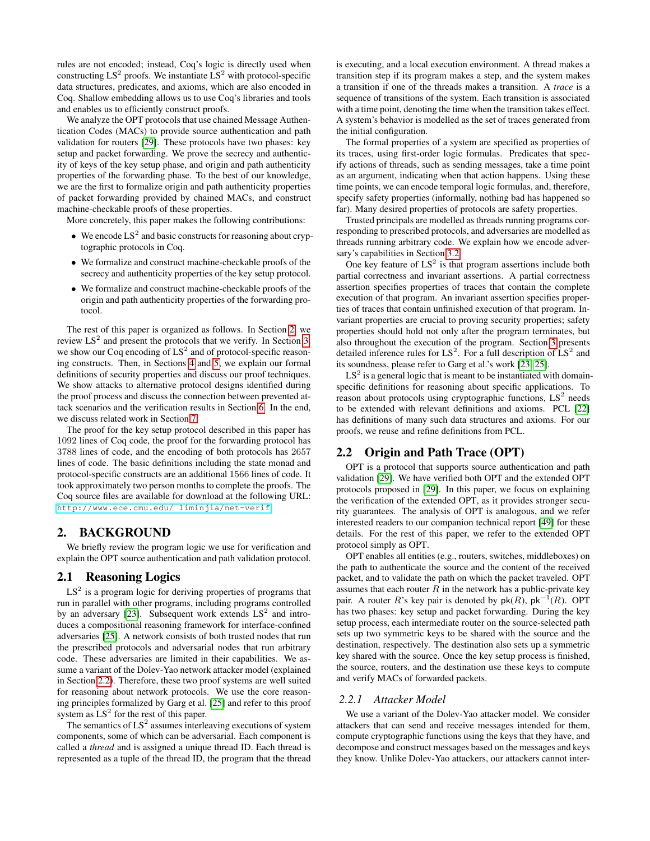rules are not encoded; instead, Coq's logic is directly used when constructing  $LS^2$  proofs. We instantiate  $LS^2$  with protocol-specific data structures, predicates, and axioms, which are also encoded in Coq. Shallow embedding allows us to use Coq's libraries and tools and enables us to efficiently construct proofs.

We analyze the OPT protocols that use chained Message Authentication Codes (MACs) to provide source authentication and path validation for routers [\[29\]](#page-11-12). These protocols have two phases: key setup and packet forwarding. We prove the secrecy and authenticity of keys of the key setup phase, and origin and path authenticity properties of the forwarding phase. To the best of our knowledge, we are the first to formalize origin and path authenticity properties of packet forwarding provided by chained MACs, and construct machine-checkable proofs of these properties.

More concretely, this paper makes the following contributions:

- $\bullet$  We encode LS<sup>2</sup> and basic constructs for reasoning about cryptographic protocols in Coq.
- We formalize and construct machine-checkable proofs of the secrecy and authenticity properties of the key setup protocol.
- We formalize and construct machine-checkable proofs of the origin and path authenticity properties of the forwarding protocol.

The rest of this paper is organized as follows. In Section [2,](#page-1-0) we review  $LS^2$  and present the protocols that we verify. In Section [3,](#page-3-0) we show our Coq encoding of  $LS^2$  and of protocol-specific reasoning constructs. Then, in Sections [4](#page-5-0) and [5,](#page-6-0) we explain our formal definitions of security properties and discuss our proof techniques. We show attacks to alternative protocol designs identified during the proof process and discuss the connection between prevented attack scenarios and the verification results in Section [6.](#page-8-0) In the end, we discuss related work in Section [7.](#page-9-0)

The proof for the key setup protocol described in this paper has 1092 lines of Coq code, the proof for the forwarding protocol has 3788 lines of code, and the encoding of both protocols has 2657 lines of code. The basic definitions including the state monad and protocol-specific constructs are an additional 1566 lines of code. It took approximately two person months to complete the proofs. The Coq source files are available for download at the following URL: [http://www.ece.cmu.edu/ liminjia/net-verif](http://www.ece.cmu.edu/~liminjia/net-verif).

# <span id="page-1-0"></span>2. BACKGROUND

We briefly review the program logic we use for verification and explain the OPT source authentication and path validation protocol.

# 2.1 Reasoning Logics

 $LS<sup>2</sup>$  is a program logic for deriving properties of programs that run in parallel with other programs, including programs controlled by an adversary [\[23\]](#page-11-7). Subsequent work extends  $LS^2$  and introduces a compositional reasoning framework for interface-confined adversaries [\[25\]](#page-11-8). A network consists of both trusted nodes that run the prescribed protocols and adversarial nodes that run arbitrary code. These adversaries are limited in their capabilities. We assume a variant of the Dolev-Yao network attacker model (explained in Section [2.2\)](#page-1-1). Therefore, these two proof systems are well suited for reasoning about network protocols. We use the core reasoning principles formalized by Garg et al. [\[25\]](#page-11-8) and refer to this proof system as  $LS^2$  for the rest of this paper.

The semantics of  $LS^2$  assumes interleaving executions of system components, some of which can be adversarial. Each component is called a *thread* and is assigned a unique thread ID. Each thread is represented as a tuple of the thread ID, the program that the thread is executing, and a local execution environment. A thread makes a transition step if its program makes a step, and the system makes a transition if one of the threads makes a transition. A *trace* is a sequence of transitions of the system. Each transition is associated with a time point, denoting the time when the transition takes effect. A system's behavior is modelled as the set of traces generated from the initial configuration.

The formal properties of a system are specified as properties of its traces, using first-order logic formulas. Predicates that specify actions of threads, such as sending messages, take a time point as an argument, indicating when that action happens. Using these time points, we can encode temporal logic formulas, and, therefore, specify safety properties (informally, nothing bad has happened so far). Many desired properties of protocols are safety properties.

Trusted principals are modelled as threads running programs corresponding to prescribed protocols, and adversaries are modelled as threads running arbitrary code. We explain how we encode adversary's capabilities in Section [3.2.](#page-4-0)

One key feature of  $LS^2$  is that program assertions include both partial correctness and invariant assertions. A partial correctness assertion specifies properties of traces that contain the complete execution of that program. An invariant assertion specifies properties of traces that contain unfinished execution of that program. Invariant properties are crucial to proving security properties; safety properties should hold not only after the program terminates, but also throughout the execution of the program. Section [3](#page-3-0) presents detailed inference rules for  $LS^2$ . For a full description of  $LS^2$  and its soundness, please refer to Garg et al.'s work [\[23,](#page-11-7) [25\]](#page-11-8).

 $LS<sup>2</sup>$  is a general logic that is meant to be instantiated with domainspecific definitions for reasoning about specific applications. To reason about protocols using cryptographic functions,  $LS^2$  needs to be extended with relevant definitions and axioms. PCL [\[22\]](#page-11-6) has definitions of many such data structures and axioms. For our proofs, we reuse and refine definitions from PCL.

# <span id="page-1-1"></span>2.2 Origin and Path Trace (OPT)

OPT is a protocol that supports source authentication and path validation [\[29\]](#page-11-12). We have verified both OPT and the extended OPT protocols proposed in [\[29\]](#page-11-12). In this paper, we focus on explaining the verification of the extended OPT, as it provides stronger security guarantees. The analysis of OPT is analogous, and we refer interested readers to our companion technical report [\[49\]](#page-11-13) for these details. For the rest of this paper, we refer to the extended OPT protocol simply as OPT.

OPT enables all entities (e.g., routers, switches, middleboxes) on the path to authenticate the source and the content of the received packet, and to validate the path on which the packet traveled. OPT assumes that each router  $R$  in the network has a public-private key pair. A router R's key pair is denoted by  $pk(R)$ ,  $pk^{-1}(R)$ . OPT has two phases: key setup and packet forwarding. During the key setup process, each intermediate router on the source-selected path sets up two symmetric keys to be shared with the source and the destination, respectively. The destination also sets up a symmetric key shared with the source. Once the key setup process is finished, the source, routers, and the destination use these keys to compute and verify MACs of forwarded packets.

#### *2.2.1 Attacker Model*

We use a variant of the Dolev-Yao attacker model. We consider attackers that can send and receive messages intended for them, compute cryptographic functions using the keys that they have, and decompose and construct messages based on the messages and keys they know. Unlike Dolev-Yao attackers, our attackers cannot inter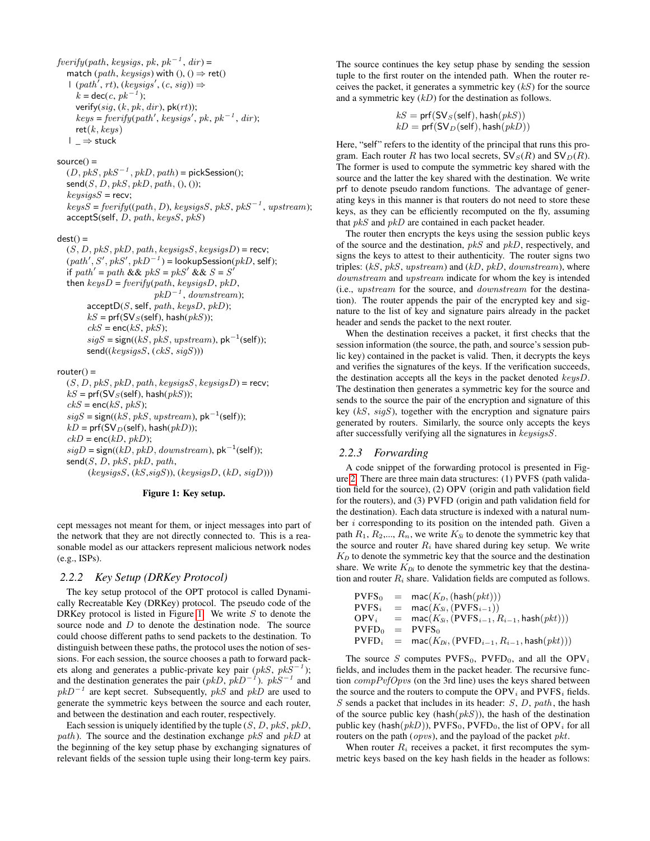$fverify(path, keysigs, pk, pk^{-1}, dir) =$ match (*path*, keysigs) with (), ()  $\Rightarrow$  ret()  $\vdash$  (path<sup>*i*</sup>, rt), (keysigs', (c, sig))  $\Rightarrow$  $k = \text{dec}(c, pk^{-1});$ verify(sig,  $(k, pk, dir)$ , pk(rt));  $keys = \nperify(path', keysigs', pk, pk^{-1}, dir);$  $ret(k, keys)$ | \_ ⇒ stuck

 $source() =$ 

 $(D, pkS, pkS^{-1}, pkD, path)$  = pickSession();  $send(S, D, pkS, pkD, path, (),$ );  $keysigsS =$  recv;  $keysS = \nperify((path, D), \nkeysigsS, \npkS, \npkS^{-1}, \nupstream);$  $acceptS(self, D, path, keysS, pkS)$ 

 $dest() =$ 

 $(S, D, pkS, pkD, path, keysigsS, keysigsD)$  = recv;  $(path', S', pkS', pkD^{-1}) = \textsf{lookupSession}(pkD, \textsf{self});$ if path' = path && pkS = pkS' &&  $S = S'$ then  $keysD = fverify(path, keysigsD, pkD,$  $pkD^{-1}$ , downstream);  $acceptD(S, self, path, keysD, pkD);$  $kS = prf(SV_S(self), hash(pkS));$  $ckS = enc(kS, pkS);$  $sigS = sign((kS, pkS, upstream), pk^{-1}(self));$  $send((keysigsS, (cks, sigS)))$ 

 $routeer() =$ 

 $(S, D, pkS, pkD, path, keysigsS, keysigsD)$  = recv;  $kS = prf(SV_S(self), hash(pkS));$  $ckS = enc(kS, pkS);$  $sigS = sign((kS, pkS, upstream), pk^{-1}(self));$  $kD = prf(SV_D(self), hash(pkD));$  $ckD = enc(kD, pkD);$  $sigD = sign((kD, pkD, downstream), pk^{-1}(self));$  $send(S, D, pkS, pkD, path,$ (keysigsS, (kS,sigS)), (keysigsD, (kD, sigD)))

#### <span id="page-2-0"></span>Figure 1: Key setup.

cept messages not meant for them, or inject messages into part of the network that they are not directly connected to. This is a reasonable model as our attackers represent malicious network nodes (e.g., ISPs).

### *2.2.2 Key Setup (DRKey Protocol)*

The key setup protocol of the OPT protocol is called Dynamically Recreatable Key (DRKey) protocol. The pseudo code of the DRKey protocol is listed in Figure [1.](#page-2-0) We write  $S$  to denote the source node and D to denote the destination node. The source could choose different paths to send packets to the destination. To distinguish between these paths, the protocol uses the notion of sessions. For each session, the source chooses a path to forward packets along and generates a public-private key pair ( $pkS$ ,  $pkS^{-1}$ ); and the destination generates the pair  $(pkD, pkD^{-1})$ .  $pkS^{-1}$  and  $pkD^{-1}$  are kept secret. Subsequently, pkS and pkD are used to generate the symmetric keys between the source and each router, and between the destination and each router, respectively.

Each session is uniquely identified by the tuple  $(S, D, pkS, pkD,$ path). The source and the destination exchange  $pkS$  and  $pkD$  at the beginning of the key setup phase by exchanging signatures of relevant fields of the session tuple using their long-term key pairs.

The source continues the key setup phase by sending the session tuple to the first router on the intended path. When the router receives the packet, it generates a symmetric key  $(kS)$  for the source and a symmetric key  $(kD)$  for the destination as follows.

$$
kS = \text{prf}(\text{SV}_S(\text{self}), \text{hash}(pkS))
$$
  

$$
kD = \text{prf}(\text{SV}_D(\text{self}), \text{hash}(pkD))
$$

Here, "self" refers to the identity of the principal that runs this program. Each router R has two local secrets,  $SV_S(R)$  and  $SV_D(R)$ . The former is used to compute the symmetric key shared with the source and the latter the key shared with the destination. We write prf to denote pseudo random functions. The advantage of generating keys in this manner is that routers do not need to store these keys, as they can be efficiently recomputed on the fly, assuming that  $pkS$  and  $pkD$  are contained in each packet header.

The router then encrypts the keys using the session public keys of the source and the destination, pkS and pkD, respectively, and signs the keys to attest to their authenticity. The router signs two triples:  $(kS, pkS, upstream)$  and  $(kD, pkD, downstream)$ , where downstream and upstream indicate for whom the key is intended (i.e., upstream for the source, and downstream for the destination). The router appends the pair of the encrypted key and signature to the list of key and signature pairs already in the packet header and sends the packet to the next router.

When the destination receives a packet, it first checks that the session information (the source, the path, and source's session public key) contained in the packet is valid. Then, it decrypts the keys and verifies the signatures of the keys. If the verification succeeds, the destination accepts all the keys in the packet denoted keysD. The destination then generates a symmetric key for the source and sends to the source the pair of the encryption and signature of this key  $(kS, sigS)$ , together with the encryption and signature pairs generated by routers. Similarly, the source only accepts the keys after successfully verifying all the signatures in keysigsS.

#### <span id="page-2-1"></span>*2.2.3 Forwarding*

A code snippet of the forwarding protocol is presented in Figure [2.](#page-3-1) There are three main data structures: (1) PVFS (path validation field for the source), (2) OPV (origin and path validation field for the routers), and (3) PVFD (origin and path validation field for the destination). Each data structure is indexed with a natural number i corresponding to its position on the intended path. Given a path  $R_1, R_2, \ldots, R_n$ , we write  $K_{Si}$  to denote the symmetric key that the source and router  $R_i$  have shared during key setup. We write  $K_D$  to denote the symmetric key that the source and the destination share. We write  $K_{Di}$  to denote the symmetric key that the destination and router  $R_i$  share. Validation fields are computed as follows.

$$
PVFS0 = mac(KD, (hash(pkt)))
$$
  
\n
$$
PVFSi = mac(KSi, (PVFSi-1))
$$
  
\n
$$
OPVi = mac(KSi, (PVFSi-1, Ri-1, hash(pkt)))
$$
  
\n
$$
PVFD0 = PVFS0
$$
  
\n
$$
PVFDi = mac(KDi, (PVFDi-1, Ri-1, hash(pkt)))
$$

The source S computes  $PVFS_0$ ,  $PVFD_0$ , and all the  $OPV_i$ fields, and includes them in the packet header. The recursive function compPvfOpvs (on the 3rd line) uses the keys shared between the source and the routers to compute the  $OPV_i$  and  $PVFS_i$  fields.  $S$  sends a packet that includes in its header:  $S$ ,  $D$ ,  $path$ , the hash of the source public key (hash $(pkS)$ ), the hash of the destination public key (hash $(pkD)$ ), PVFS<sub>0</sub>, PVFD<sub>0</sub>, the list of OPV<sub>i</sub> for all routers on the path (*opvs*), and the payload of the packet *pkt*.

When router  $R_i$  receives a packet, it first recomputes the symmetric keys based on the key hash fields in the header as follows: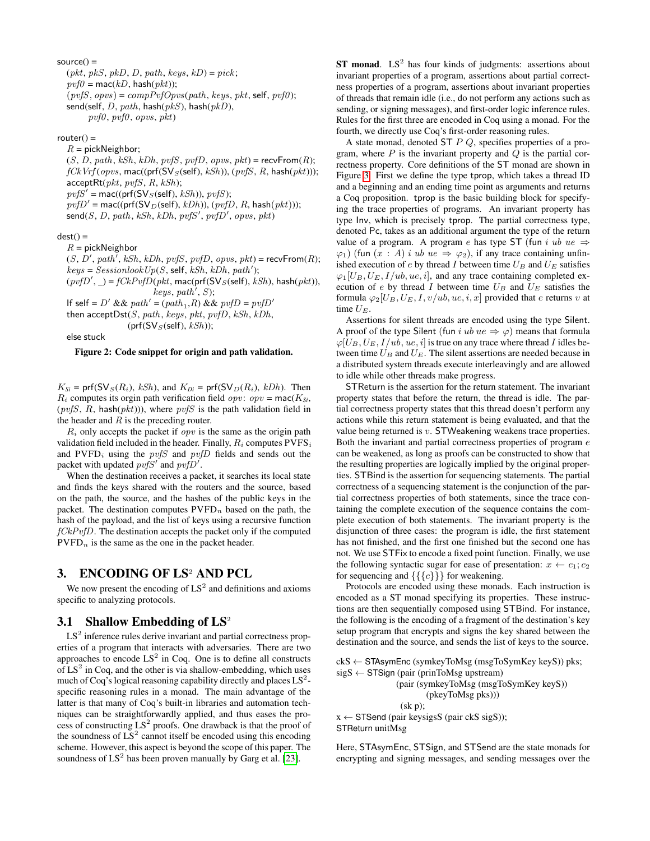$source() =$ 

 $(\text{pkt}, \text{pkS}, \text{pkD}, D, \text{path}, \text{keys}, \text{kD}) = \text{pick};$  $pvf0 = \text{mac}(kD, \text{hash}(pkt));$  $(pvfS, opvs) = compPvfOpvs(path, keys, pkt, self, pvf0);$ send(self,  $D$ ,  $path$ , hash( $pkS$ ), hash( $pkD$ ),  $pvf0, \, pvf0, \, opvs, \, pkt)$ 

#### $router() =$

 $R =$  pickNeighbor:

 $(S, D, path, kSh, kDh, pvfS, pvfD, opvs, pkt)$  = recvFrom $(R)$ ;  $fCkVrf(opus, mac((prf(SV<sub>S</sub>(self), kSh)), (pvfS, R, hash(pkt)))$ ;  $acceptRt(\text{pkt}, \text{pvfS}, R, \text{kSh});$  $pvfS' = mac((prf(SV_S(self), kSh)), pvfS);$  $pvfD' = \textsf{mac}((\textsf{prf}(\textsf{SV}_D(\textsf{self}), \textit{kDh})), (\textit{pvfD}, \textit{R}, \textsf{hash}(\textit{pkt}))),$  $\mathsf{send}(S, D, path, kSh, kDh, pvfS', pvfD', opvs, pkt)$ 

 $dest() =$ 

```
R = pickNeighbor
```
 $(S, D', path', kSh, kDh, pvfS, pvfD, opvs, pkt) = \text{recvFrom}(R);$  $keys = SessionlookUp(S, self, kSh, kDh, path');$  $(pvfD', \_) = fCkPvfD(pkt, \text{mac}(prf(SV_S(self), kSh), \text{hash}(pkt)),$ 

 $keys, path', S);$ 

If self =  $D'$  && path' =  $(path_1, R)$  && pvfD =  $pvfD'$ then  $acceptDist(S, path, keys, pkt, pvfD, kSh, kDh,$ 

 $(prf(SV_S(self), kSh))$ ;

else stuck

#### <span id="page-3-1"></span>Figure 2: Code snippet for origin and path validation.

 $K_{Si}$  = prf(SV<sub>S</sub>( $R_i$ ), kSh), and  $K_{Di}$  = prf(SV<sub>D</sub>( $R_i$ ), kDh). Then  $R_i$  computes its orgin path verification field *opv*: *opv* = mac( $K_{Si}$ ,  $(pv f S, R, hash(pkt))$ , where  $p v f S$  is the path validation field in the header and  $R$  is the preceding router.

 $R_i$  only accepts the packet if *opv* is the same as the origin path validation field included in the header. Finally,  $R_i$  computes PVFS<sub>i</sub> and  $PVFD_i$  using the pvfS and pvfD fields and sends out the packet with updated  $pvfS'$  and  $pvfD'$ .

When the destination receives a packet, it searches its local state and finds the keys shared with the routers and the source, based on the path, the source, and the hashes of the public keys in the packet. The destination computes  $PVFD_n$  based on the path, the hash of the payload, and the list of keys using a recursive function  $fCkPvfD$ . The destination accepts the packet only if the computed  $PVFD_n$  is the same as the one in the packet header.

### <span id="page-3-0"></span>3. ENCODING OF LS<sup>2</sup> AND PCL

We now present the encoding of  $LS<sup>2</sup>$  and definitions and axioms specific to analyzing protocols.

# <span id="page-3-2"></span>3.1 Shallow Embedding of  $LS^2$

 $LS<sup>2</sup>$  inference rules derive invariant and partial correctness properties of a program that interacts with adversaries. There are two approaches to encode  $LS^2$  in Coq. One is to define all constructs of  $LS<sup>2</sup>$  in Coq, and the other is via shallow-embedding, which uses much of Coq's logical reasoning capability directly and places  $LS^2$ specific reasoning rules in a monad. The main advantage of the latter is that many of Coq's built-in libraries and automation techniques can be straightforwardly applied, and thus eases the process of constructing  $LS^2$  proofs. One drawback is that the proof of the soundness of  $LS^2$  cannot itself be encoded using this encoding scheme. However, this aspect is beyond the scope of this paper. The soundness of  $LS^2$  has been proven manually by Garg et al. [\[23\]](#page-11-7).

**ST monad.**  $LS^2$  has four kinds of judgments: assertions about invariant properties of a program, assertions about partial correctness properties of a program, assertions about invariant properties of threads that remain idle (i.e., do not perform any actions such as sending, or signing messages), and first-order logic inference rules. Rules for the first three are encoded in Coq using a monad. For the fourth, we directly use Coq's first-order reasoning rules.

A state monad, denoted  $ST \, P \, Q$ , specifies properties of a program, where  $P$  is the invariant property and  $Q$  is the partial correctness property. Core definitions of the ST monad are shown in Figure [3.](#page-4-1) First we define the type tprop, which takes a thread ID and a beginning and an ending time point as arguments and returns a Coq proposition. tprop is the basic building block for specifying the trace properties of programs. An invariant property has type Inv, which is precisely tprop. The partial correctness type, denoted Pc, takes as an additional argument the type of the return value of a program. A program e has type ST (fun i ub ue  $\Rightarrow$  $\varphi_1$ ) (fun  $(x : A)$  *i* ub  $ue \Rightarrow \varphi_2$ ), if any trace containing unfinished execution of  $e$  by thread  $I$  between time  $U_B$  and  $U_E$  satisfies  $\varphi_1[U_B, U_E, I/ub, ue, i]$ , and any trace containing completed execution of e by thread I between time  $U_B$  and  $U_E$  satisfies the formula  $\varphi_2[U_B, U_E, I, v/ub, ue, i, x]$  provided that e returns v at time  $U_E$ .

Assertions for silent threads are encoded using the type Silent. A proof of the type Silent (fun i ub  $ue \Rightarrow \varphi$ ) means that formula  $\varphi$ [ $U_B$ ,  $U_E$ ,  $I/ub$ ,  $ue$ , i] is true on any trace where thread I idles between time  $U_B$  and  $U_E$ . The silent assertions are needed because in a distributed system threads execute interleavingly and are allowed to idle while other threads make progress.

STReturn is the assertion for the return statement. The invariant property states that before the return, the thread is idle. The partial correctness property states that this thread doesn't perform any actions while this return statement is being evaluated, and that the value being returned is v. STWeakening weakens trace properties. Both the invariant and partial correctness properties of program e can be weakened, as long as proofs can be constructed to show that the resulting properties are logically implied by the original properties. STBind is the assertion for sequencing statements. The partial correctness of a sequencing statement is the conjunction of the partial correctness properties of both statements, since the trace containing the complete execution of the sequence contains the complete execution of both statements. The invariant property is the disjunction of three cases: the program is idle, the first statement has not finished, and the first one finished but the second one has not. We use STFix to encode a fixed point function. Finally, we use the following syntactic sugar for ease of presentation:  $x \leftarrow c_1; c_2$ for sequencing and  $\{\{\{c\}\}\}\$ for weakening.

Protocols are encoded using these monads. Each instruction is encoded as a ST monad specifying its properties. These instructions are then sequentially composed using STBind. For instance, the following is the encoding of a fragment of the destination's key setup program that encrypts and signs the key shared between the destination and the source, and sends the list of keys to the source.

ckS ← STAsymEnc (symkeyToMsg (msgToSymKey keyS)) pks;  $sigS \leftarrow STSign$  (pair (prinToMsg upstream) (pair (symkeyToMsg (msgToSymKey keyS)) (pkeyToMsg pks))) (sk p);

 $x \leftarrow$  STSend (pair keysigsS (pair ckS sigS)); STReturn unitMsg

Here, STAsymEnc, STSign, and STSend are the state monads for encrypting and signing messages, and sending messages over the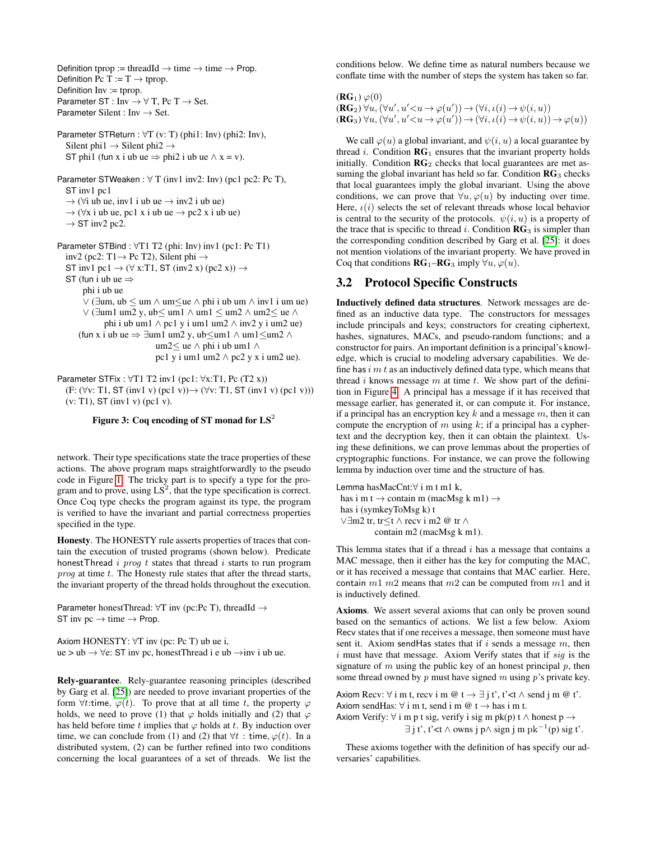Definition tprop := threadId  $\rightarrow$  time  $\rightarrow$  time  $\rightarrow$  Prop. Definition Pc  $T := T \rightarrow$  tprop. Definition  $Inv := trrop.$ Parameter ST : Inv  $\rightarrow \forall$  T, Pc T  $\rightarrow$  Set. Parameter Silent : Inv  $\rightarrow$  Set. Parameter STReturn : ∀T (v: T) (phi1: Inv) (phi2: Inv), Silent phi $1 \rightarrow$  Silent phi $2 \rightarrow$ ST phi1 (fun x i ub ue  $\Rightarrow$  phi2 i ub ue  $\land$  x = v). Parameter STWeaken :  $\forall$  T (inv1 inv2: Inv) (pc1 pc2: Pc T), ST inv1 pc1  $\rightarrow$  ( $\forall$ i ub ue, inv1 i ub ue  $\rightarrow$  inv2 i ub ue)  $\rightarrow$  ( $\forall$ x i ub ue, pc1 x i ub ue  $\rightarrow$  pc2 x i ub ue)  $\rightarrow$  ST inv2 pc2. Parameter STBind : ∀T1 T2 (phi: Inv) inv1 (pc1: Pc T1) inv2 (pc2: T1→ Pc T2), Silent phi → ST inv1 pc1  $\rightarrow$  ( $\forall$  x:T1, ST (inv2 x) (pc2 x))  $\rightarrow$ ST (fun i ub ue  $\Rightarrow$ phi i ub ue ∨ (∃um, ub ≤ um ∧ um≤ue ∧ phi i ub um ∧ inv1 i um ue) ∨ (∃um1 um2 y, ub≤ um1 ∧ um1 ≤ um2 ∧ um2≤ ue ∧ phi i ub um1  $\land$  pc1 y i um1 um2  $\land$  inv2 y i um2 ue) (fun x i ub ue ⇒ ∃um1 um2 y, ub≤um1 ∧ um1≤um2 ∧ um2≤ ue ∧ phi i ub um1 ∧ pc1 y i um1 um2  $\land$  pc2 y x i um2 ue).

Parameter STFix : ∀T1 T2 inv1 (pc1: ∀x:T1, Pc (T2 x))  $(F: (\forall v: T1, ST (inv1 v) (pc1 v)) \rightarrow (\forall v: T1, ST (inv1 v) (pc1 v)))$  $(v: T1)$ , ST  $(inv1 v)$  (pc1 v).

<span id="page-4-1"></span>Figure 3: Coq encoding of ST monad for  $LS^2$ 

network. Their type specifications state the trace properties of these actions. The above program maps straightforwardly to the pseudo code in Figure [1.](#page-2-0) The tricky part is to specify a type for the program and to prove, using  $LS^2$ , that the type specification is correct. Once Coq type checks the program against its type, the program is verified to have the invariant and partial correctness properties specified in the type.

Honesty. The HONESTY rule asserts properties of traces that contain the execution of trusted programs (shown below). Predicate honestThread  $i$  prog  $t$  states that thread  $i$  starts to run program  $prog$  at time  $t$ . The Honesty rule states that after the thread starts, the invariant property of the thread holds throughout the execution.

Parameter honestThread:  $\forall$ T inv (pc:Pc T), threadId  $\rightarrow$ ST inv pc  $\rightarrow$  time  $\rightarrow$  Prop.

Axiom HONESTY:  $\forall$ T inv (pc: Pc T) ub ue i, ue > ub →  $\forall$ e: ST inv pc, honestThread i e ub →inv i ub ue.

Rely-guarantee. Rely-guarantee reasoning principles (described by Garg et al. [\[25\]](#page-11-8)) are needed to prove invariant properties of the form  $\forall t$ :time,  $\varphi(t)$ . To prove that at all time t, the property  $\varphi$ holds, we need to prove (1) that  $\varphi$  holds initially and (2) that  $\varphi$ has held before time t implies that  $\varphi$  holds at t. By induction over time, we can conclude from (1) and (2) that  $\forall t$  : time,  $\varphi(t)$ . In a distributed system, (2) can be further refined into two conditions concerning the local guarantees of a set of threads. We list the conditions below. We define time as natural numbers because we conflate time with the number of steps the system has taken so far.

 $(RG_1)\varphi(0)$  $(\mathbf{RG}_{2}) \forall u, (\forall u', u' \langle u \rightarrow \varphi(u')) \rightarrow (\forall i, \iota(i) \rightarrow \psi(i, u))$  $(\mathbf{RG}_{3}) \ \forall u, (\forall u', u' \langle u \rightarrow \varphi(u')) \rightarrow (\forall i, \iota(i) \rightarrow \psi(i, u)) \rightarrow \varphi(u))$ 

We call  $\varphi(u)$  a global invariant, and  $\psi(i, u)$  a local guarantee by thread *i*. Condition  $\mathbf{RG}_1$  ensures that the invariant property holds initially. Condition  $\mathbb{R}G_2$  checks that local guarantees are met assuming the global invariant has held so far. Condition  $\mathbb{R}G_3$  checks that local guarantees imply the global invariant. Using the above conditions, we can prove that  $\forall u, \varphi(u)$  by inducting over time. Here,  $\iota(i)$  selects the set of relevant threads whose local behavior is central to the security of the protocols.  $\psi(i, u)$  is a property of the trace that is specific to thread i. Condition  $\mathbf{RG}_3$  is simpler than the corresponding condition described by Garg et al. [\[25\]](#page-11-8): it does not mention violations of the invariant property. We have proved in Coq that conditions  $\mathbf{RG}_{1}-\mathbf{RG}_{3}$  imply  $\forall u, \varphi(u)$ .

# <span id="page-4-0"></span>3.2 Protocol Specific Constructs

Inductively defined data structures. Network messages are defined as an inductive data type. The constructors for messages include principals and keys; constructors for creating ciphertext, hashes, signatures, MACs, and pseudo-random functions; and a constructor for pairs. An important definition is a principal's knowledge, which is crucial to modeling adversary capabilities. We define has  $i m t$  as an inductively defined data type, which means that thread i knows message  $m$  at time  $t$ . We show part of the definition in Figure [4.](#page-5-1) A principal has a message if it has received that message earlier, has generated it, or can compute it. For instance, if a principal has an encryption key  $k$  and a message  $m$ , then it can compute the encryption of  $m$  using  $k$ ; if a principal has a cyphertext and the decryption key, then it can obtain the plaintext. Using these definitions, we can prove lemmas about the properties of cryptographic functions. For instance, we can prove the following lemma by induction over time and the structure of has.

Lemma hasMacCnt:∀ i m t m1 k, has i m t  $\rightarrow$  contain m (macMsg k m1)  $\rightarrow$ has i (symkeyToMsg k) t ∨∃m2 tr, tr≤t ∧ recv i m2 @ tr ∧ contain m2 (macMsg k m1).

This lemma states that if a thread  $i$  has a message that contains a MAC message, then it either has the key for computing the MAC, or it has received a message that contains that MAC earlier. Here, contain  $m1$  m2 means that  $m2$  can be computed from  $m1$  and it is inductively defined.

Axioms. We assert several axioms that can only be proven sound based on the semantics of actions. We list a few below. Axiom Recv states that if one receives a message, then someone must have sent it. Axiom sendHas states that if  $i$  sends a message  $m$ , then  $i$  must have that message. Axiom Verify states that if  $sig$  is the signature of  $m$  using the public key of an honest principal  $p$ , then some thread owned by  $p$  must have signed  $m$  using  $p$ 's private key.

```
Axiom Recv: \forall i m t, recv i m @ t \rightarrow \exists j t', t' \ltt \land send j m @ t'.
Axiom sendHas: \forall i m t, send i m @ t \rightarrow has i m t.
Axiom Verify: \forall i m p t sig, verify i sig m pk(p) t \land honest p \rightarrow
```

```
\exists j t', t'<t ∧ owns j p∧ sign j m pk<sup>-1</sup>(p) sig t'.
```
These axioms together with the definition of has specify our adversaries' capabilities.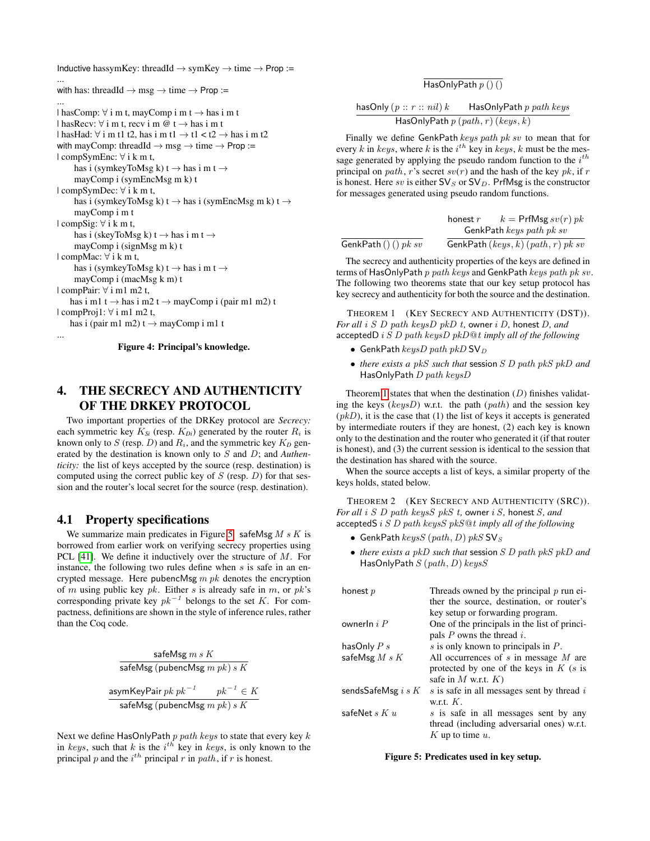Inductive hassymKey: threadId  $\rightarrow$  symKey  $\rightarrow$  time  $\rightarrow$  Prop := ... with has: threadId  $\rightarrow$  msg  $\rightarrow$  time  $\rightarrow$  Prop :=

... | hasComp:  $\forall$  i m t, mayComp i m t  $\rightarrow$  has i m t | hasRecv:  $\forall$  i m t, recv i m @ t → has i m t | hasHad:  $\forall$  i m t1 t2, has i m t1  $\rightarrow$  t1  $\lt$  t2  $\rightarrow$  has i m t2 with mayComp: threadId  $\rightarrow$  msg  $\rightarrow$  time  $\rightarrow$  Prop := | compSymEnc: ∀ i k m t, has i (symkeyToMsg k) t  $\rightarrow$  has i m t  $\rightarrow$ mayComp i (symEncMsg m k) t | compSymDec: ∀ i k m t, has i (symkeyToMsg k) t  $\rightarrow$  has i (symEncMsg m k) t  $\rightarrow$ mayComp i m t | compSig: ∀ i k m t, has i (skeyToMsg k)  $t \rightarrow$  has i m  $t \rightarrow$ mayComp i (signMsg m k) t | compMac: ∀ i k m t, has i (symkeyToMsg k) t  $\rightarrow$  has i m t  $\rightarrow$ mayComp i (macMsg k m) t | compPair: ∀ i m1 m2 t, has i m1 t  $\rightarrow$  has i m2 t  $\rightarrow$  mayComp i (pair m1 m2) t | compProj1: ∀ i m1 m2 t, has i (pair m1 m2)  $t \rightarrow$  mayComp i m1 t

...

<span id="page-5-1"></span>Figure 4: Principal's knowledge.

# <span id="page-5-0"></span>4. THE SECRECY AND AUTHENTICITY OF THE DRKEY PROTOCOL

Two important properties of the DRKey protocol are *Secrecy:* each symmetric key  $K_{Si}$  (resp.  $K_{Di}$ ) generated by the router  $R_i$  is known only to S (resp. D) and  $R_i$ , and the symmetric key  $K_D$  generated by the destination is known only to S and D; and *Authenticity*: the list of keys accepted by the source (resp. destination) is computed using the correct public key of  $S$  (resp.  $D$ ) for that session and the router's local secret for the source (resp. destination).

### 4.1 Property specifications

We summarize main predicates in Figure [5.](#page-5-2) safeMsg  $M s K$  is borrowed from earlier work on verifying secrecy properties using PCL [\[41\]](#page-11-10). We define it inductively over the structure of  $M$ . For instance, the following two rules define when  $s$  is safe in an encrypted message. Here pubencMsg  $m pk$  denotes the encryption of m using public key  $pk$ . Either s is already safe in m, or  $pk$ 's corresponding private key  $pk^{-1}$  belongs to the set K. For compactness, definitions are shown in the style of inference rules, rather than the Coq code.

> safeMsg  $m s K$ safeMsg (pubencMsg  $m$   $pk$ )  $s$   $K$ asymKeyPair  $pk$   $pk^{-1}$   $pk^{-1} \in K$ safeMsg (pubencMsg  $m\ pk) \ s\ K$

Next we define HasOnlyPath  $p$   $path$   $keys$  to state that every key  $k$ in keys, such that k is the  $i^{th}$  key in keys, is only known to the principal p and the  $i^{th}$  principal r in path, if r is honest.

 $\overline{\text{HasOnlyPath } p\left(\big) \left(\right)}$ 

hasOnly  $(p:: r:: nil)$   $k$   $\qquad$  HasOnlyPath  $p$   $path$   $keys$ HasOnlyPath  $p$   $(path, r)$   $(key, k)$ 

Finally we define GenkPath keys path pk sv to mean that for every k in keys, where k is the  $i^{th}$  key in keys, k must be the message generated by applying the pseudo random function to the  $i^{th}$ principal on path, r's secret  $sv(r)$  and the hash of the key pk, if r is honest. Here sv is either  $SV_S$  or  $SV_D$ . PrfMsg is the constructor for messages generated using pseudo random functions.

|                        | honest $r$               | $k = PrfMsgsv(r) p k$                   |  |
|------------------------|--------------------------|-----------------------------------------|--|
|                        | GenkPath keys path pk sv |                                         |  |
| GenkPath () () $pk sv$ |                          | GenkPath $(key, k)$ $(path, r)$ $pk sv$ |  |

The secrecy and authenticity properties of the keys are defined in terms of HasOnlyPath p path keys and GenkPath keys path pk sv. The following two theorems state that our key setup protocol has key secrecy and authenticity for both the source and the destination.

<span id="page-5-3"></span>THEOREM 1 (KEY SECRECY AND AUTHENTICITY (DST)). *For all* i S D path keysD pkD t*,* owner i D*,* honest D*, and* acceptedD i S D path keysD pkD@t *imply all of the following*

- GenkPath  $keysD$  path  $pkD$  SV<sub>D</sub>
- *there exists a* pkS *such that* session S D path pkS pkD *and* HasOnlyPath D path keysD

Theorem [1](#page-5-3) states that when the destination  $(D)$  finishes validating the keys ( $keysD$ ) w.r.t. the path (path) and the session key  $(pkD)$ , it is the case that (1) the list of keys it accepts is generated by intermediate routers if they are honest, (2) each key is known only to the destination and the router who generated it (if that router is honest), and (3) the current session is identical to the session that the destination has shared with the source.

When the source accepts a list of keys, a similar property of the keys holds, stated below.

<span id="page-5-4"></span>THEOREM 2 (KEY SECRECY AND AUTHENTICITY (SRC)). *For all* i S D path keysS pkS t*,* owner i S*,* honest S*, and* acceptedS i S D path keysS pkS@t *imply all of the following*

- GenkPath  $keysS$  ( $path, D$ )  $pkS$  SV<sub>S</sub>
- *there exists a* pkD *such that* session S D path pkS pkD *and* HasOnlyPath  $S$  (path,  $D$ ) keys $S$

| honest $p$                      | Threads owned by the principal $p$ run ei-   |
|---------------------------------|----------------------------------------------|
|                                 | ther the source, destination, or router's    |
|                                 | key setup or forwarding program.             |
| ownerln $i P$                   | One of the principals in the list of princi- |
|                                 | pals $P$ owns the thread $i$ .               |
| hasOnly $P s$                   | s is only known to principals in $P$ .       |
| safeMsg $M s K$                 | All occurrences of $s$ in message $M$ are    |
|                                 | protected by one of the keys in $K$ (s is    |
|                                 | safe in M w.r.t. $K$ )                       |
| sends $\mathsf{SafeMsg}\ is\ K$ | s is safe in all messages sent by thread i   |
|                                 | w.r.t. $K$ .                                 |
| safeNet $s K u$                 | s is safe in all messages sent by any        |
|                                 | thread (including adversarial ones) w.r.t.   |
|                                 | $K$ up to time $u$ .                         |

<span id="page-5-2"></span>Figure 5: Predicates used in key setup.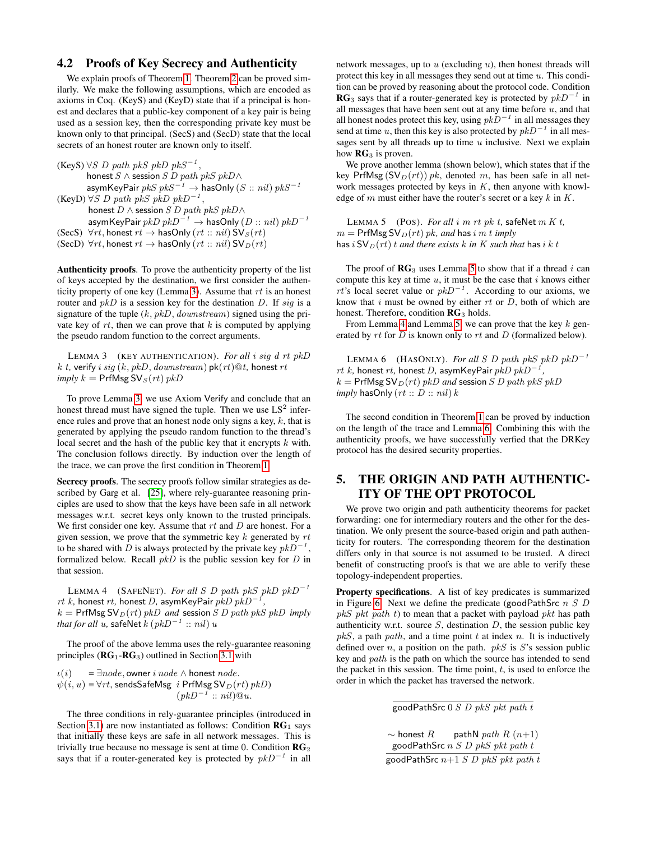### 4.2 Proofs of Key Secrecy and Authenticity

We explain proofs of Theorem [1.](#page-5-3) Theorem [2](#page-5-4) can be proved similarly. We make the following assumptions, which are encoded as axioms in Coq. (KeyS) and (KeyD) state that if a principal is honest and declares that a public-key component of a key pair is being used as a session key, then the corresponding private key must be known only to that principal. (SecS) and (SecD) state that the local secrets of an honest router are known only to itself.

(KeyS)  $\forall S \ D \ path \ pkS \ pkD \ pkS^{-1}$ , honest  $S \wedge$  session  $S D$  path  $pkS$   $pkD \wedge$ asymKeyPair  $pkS p kS^{-1} \rightarrow$  hasOnly  $(S:: nil) p kS^{-1}$ (KeyD)  $\forall S \ D \ path \ pkS \ pkD \ pkD^{-1}$ , honest  $D \wedge$  session  $S$   $D$   $path$   $pkS$   $pkD \wedge$ asymKeyPair  $pkD$   $pkD^{-1}$   $\rightarrow$  hasOnly (D :: nil)  $pkD^{-1}$ (SecS)  $\forall rt$ , honest  $rt \rightarrow$  hasOnly  $(rt :: nil)$  SV $_s(rt)$ (SecD)  $\forall rt$ , honest  $rt \rightarrow$  hasOnly  $(rt :: nil)$  SV $_D(rt)$ 

Authenticity proofs. To prove the authenticity property of the list of keys accepted by the destination, we first consider the authen-ticity property of one key (Lemma [3\)](#page-6-1). Assume that  $rt$  is an honest router and  $pkD$  is a session key for the destination D. If  $sig$  is a signature of the tuple  $(k, pkD, downstream)$  signed using the private key of  $rt$ , then we can prove that k is computed by applying the pseudo random function to the correct arguments.

<span id="page-6-1"></span>LEMMA 3 (KEY AUTHENTICATION). *For all* i sig d rt pkD k t, verify i sig  $(k, pkD, downstream)$  pk $(rt)$ <sup> $@t$ </sup>, honest rt  $imply$   $k = PrfMsg SV<sub>S</sub>(rt)$   $pkD$ 

To prove Lemma [3,](#page-6-1) we use Axiom Verify and conclude that an honest thread must have signed the tuple. Then we use  $LS^2$  inference rules and prove that an honest node only signs a key,  $k$ , that is generated by applying the pseudo random function to the thread's local secret and the hash of the public key that it encrypts  $k$  with. The conclusion follows directly. By induction over the length of the trace, we can prove the first condition in Theorem [1.](#page-5-3)

Secrecy proofs. The secrecy proofs follow similar strategies as described by Garg et al. [\[25\]](#page-11-8), where rely-guarantee reasoning principles are used to show that the keys have been safe in all network messages w.r.t. secret keys only known to the trusted principals. We first consider one key. Assume that  $rt$  and  $D$  are honest. For a given session, we prove that the symmetric key  $k$  generated by  $rt$ to be shared with D is always protected by the private key  $pkD^{-1}$ , formalized below. Recall  $pkD$  is the public session key for  $D$  in that session.

<span id="page-6-3"></span>LEMMA 4 (SAFENET). *For all* S D path pkS pkD  $pkD^{-1}$ rt k*,* honest rt*,* honest D*,* asymKeyPair pkD pkD<sup>−</sup><sup>1</sup> *,*  $k = PrfMsg SV<sub>D</sub>(rt) p kD$  *and* session S D path pkS pkD *imply that for all*  $u$ *, safeNet*  $k$  $(pkD^{-1}:: nil)$  $u$ 

The proof of the above lemma uses the rely-guarantee reasoning principles  $(RG_1-RG_3)$  outlined in Section [3.1](#page-3-2) with

 $\iota(i) = \exists node$ , owner  $i node \wedge$  honest  $node$ .  $\psi(i, u) = \forall rt$ , sendsSafeMsg i PrfMsg SV $_D(rt)$  pkD)  $(pkD^{-1} :: nil)@u.$ 

The three conditions in rely-guarantee principles (introduced in Section [3.1\)](#page-3-2) are now instantiated as follows: Condition  $\mathbf{RG}_{1}$  says that initially these keys are safe in all network messages. This is trivially true because no message is sent at time 0. Condition  $\mathbf{RG}_{2}$ says that if a router-generated key is protected by  $pkD^{-1}$  in all

network messages, up to  $u$  (excluding  $u$ ), then honest threads will protect this key in all messages they send out at time  $u$ . This condition can be proved by reasoning about the protocol code. Condition RG<sub>3</sub> says that if a router-generated key is protected by  $pkD^{-1}$  in all messages that have been sent out at any time before  $u$ , and that all honest nodes protect this key, using  $pkD^{-1}$  in all messages they send at time u, then this key is also protected by  $pkD^{-1}$  in all messages sent by all threads up to time  $u$  inclusive. Next we explain how  $\mathbf{RG}_3$  is proven.

We prove another lemma (shown below), which states that if the key PrfMsg (SV $_D(rt)$ ) pk, denoted m, has been safe in all network messages protected by keys in  $K$ , then anyone with knowledge of m must either have the router's secret or a key  $k$  in  $K$ .

<span id="page-6-2"></span>LEMMA 5 (POS). *For all* i m rt pk t*,* safeNet m K t*,*  $m = PrfMsg SV<sub>D</sub>(rt) pk, and has i m t imply$ has  $i$  SV<sub>D</sub> $(rt)$  *t and there exists*  $k$  *in*  $K$  *such that* has  $i$   $k$   $t$ 

The proof of  $\mathbf{RG}_3$  uses Lemma [5](#page-6-2) to show that if a thread i can compute this key at time  $u$ , it must be the case that  $i$  knows either rt's local secret value or  $pkD^{-1}$ . According to our axioms, we know that  $i$  must be owned by either  $rt$  or  $D$ , both of which are honest. Therefore, condition  $\mathbf{RG}_3$  holds.

From Lemma [4](#page-6-3) and Lemma [5,](#page-6-2) we can prove that the key  $k$  generated by  $rt$  for  $D$  is known only to  $rt$  and  $D$  (formalized below).

<span id="page-6-4"></span>LEMMA 6 (HASONLY). *For all* S D path pkS pkD  $pkD^{-1}$  $rt$   $k$ , honest  $rt$ , honest  $D$ , asymKeyPair  $pkD$   $pkD^{-1}$ ,  $k = PrfMsg SV_D(rt)$  pkD and session S D path pkS pkD *imply* has Only  $(rt :: D :: nil) k$ 

The second condition in Theorem [1](#page-5-3) can be proved by induction on the length of the trace and Lemma [6.](#page-6-4) Combining this with the authenticity proofs, we have successfully verfied that the DRKey protocol has the desired security properties.

# <span id="page-6-0"></span>5. THE ORIGIN AND PATH AUTHENTIC-ITY OF THE OPT PROTOCOL

We prove two origin and path authenticity theorems for packet forwarding: one for intermediary routers and the other for the destination. We only present the source-based origin and path authenticity for routers. The corresponding theorem for the destination differs only in that source is not assumed to be trusted. A direct benefit of constructing proofs is that we are able to verify these topology-independent properties.

Property specifications. A list of key predicates is summarized in Figure [6.](#page-7-0) Next we define the predicate (goodPathSrc  $n S D$  $pkS$  *pkt path t*) to mean that a packet with payload *pkt* has path authenticity w.r.t. source  $S$ , destination  $D$ , the session public key  $pkS$ , a path path, and a time point t at index n. It is inductively defined over n, a position on the path.  $pkS$  is S's session public key and path is the path on which the source has intended to send the packet in this session. The time point,  $t$ , is used to enforce the order in which the packet has traversed the network.

goodPathSrc 0 S D pkS pkt path t

 $\sim$  honest R pathN path R  $(n+1)$ goodPathSrc  $n S D p k S p k t path t$ goodPathSrc  $n+1$  S D pkS pkt path t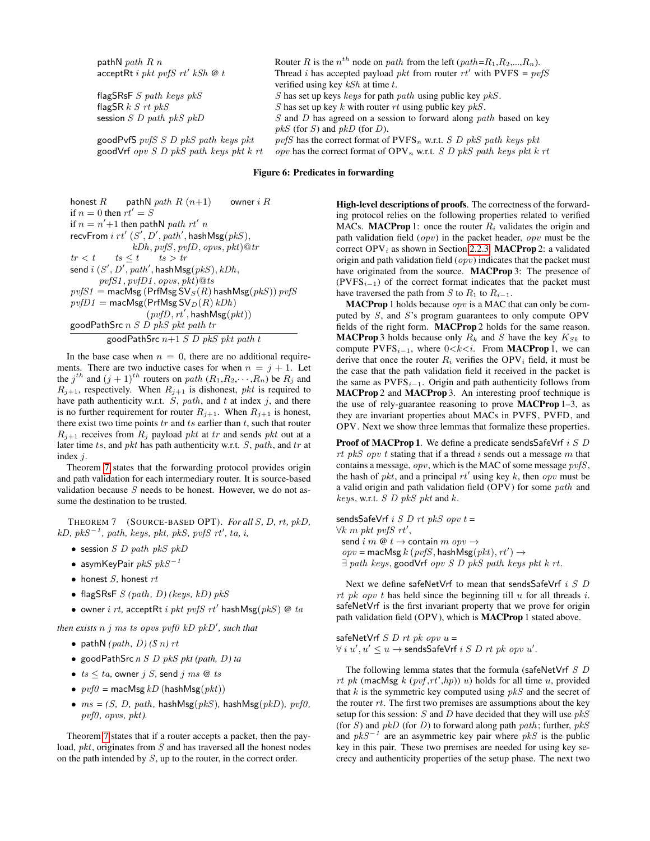| pathN path $R n$<br>acceptRt i pkt pvfS rt' kSh @ t | Router R is the $n^{th}$ node on path from the left (path=R <sub>1</sub> , R <sub>2</sub> ,, R <sub>n</sub> ).<br>Thread i has accepted payload <i>pkt</i> from router $rt'$ with PVFS = $pvfS$<br>verified using key $kSh$ at time t. |
|-----------------------------------------------------|----------------------------------------------------------------------------------------------------------------------------------------------------------------------------------------------------------------------------------------|
| flagSRsF $S$ path keys pk $S$                       | S has set up keys keys for path path using public key $pkS$ .                                                                                                                                                                          |
| flagSR $k S$ rt $pkS$                               | S has set up key k with router rt using public key $pkS$ .                                                                                                                                                                             |
| session $S$ D path pkS pkD                          | $S$ and $D$ has agreed on a session to forward along path based on key                                                                                                                                                                 |
|                                                     | $pkS$ (for S) and $pkD$ (for D).                                                                                                                                                                                                       |
| goodPvfS $pvfS S D p k S path keys p k t$           | <i>pvfS</i> has the correct format of PVFS <sub>n</sub> w.r.t. S D pkS path keys pkt                                                                                                                                                   |
| goodVrf opv $S$ D pkS path keys pkt k rt            | opv has the correct format of OPV <sub>n</sub> w.r.t. S D pkS path keys pkt k rt                                                                                                                                                       |

#### <span id="page-7-0"></span>Figure 6: Predicates in forwarding

honest R pathN path R  $(n+1)$  owner i R if  $n = 0$  then  $rt' = S$ if  $n = n' + 1$  then pathN path rt' n  ${\sf recvFrom} \ i \ rt' \ (S',D', path', {\sf hashMsg}(p k S),$  $kDh, \text{prfS}, \text{prfD}, \text{opvs}, \text{pkt})@tr$  $tr < t$  ts  $\leq t$  ts  $> tr$ send  $i(S', D', path', hashMsg(pkS), kDh,$  $pvfS1, pvfD1, opvs, pkt)@ts$  $pvfS1 =$  macMsg (PrfMsg SV<sub>S</sub>(R) hashMsg(pkS)) pvfS  $pvfD1 = \text{machL}(PrfMsgSV_D(R) kDh)$  $(pv f D, r t', h$ ash $Msg(pkt))$ goodPathSrc  $n\;S\;D\;pkS\;pkt\;path\;tr$ goodPathSrc  $n+1$  S D pkS pkt path t

In the base case when  $n = 0$ , there are no additional requirements. There are two inductive cases for when  $n = j + 1$ . Let the  $j^{th}$  and  $(j + 1)^{th}$  routers on path  $(R_1, R_2, \dots, R_n)$  be  $R_j$  and  $R_{j+1}$ , respectively. When  $R_{j+1}$  is dishonest, pkt is required to have path authenticity w.r.t.  $S$ , path, and t at index j, and there is no further requirement for router  $R_{j+1}$ . When  $R_{j+1}$  is honest, there exist two time points  $tr$  and  $ts$  earlier than  $t$ , such that router  $R_{i+1}$  receives from  $R_i$  payload pkt at tr and sends pkt out at a later time ts, and *pkt* has path authenticity w.r.t.  $S$ , path, and tr at index j.

Theorem [7](#page-7-1) states that the forwarding protocol provides origin and path validation for each intermediary router. It is source-based validation because  $S$  needs to be honest. However, we do not assume the destination to be trusted.

<span id="page-7-1"></span>THEOREM 7 (SOURCE-BASED OPT). *For all* S*,* D*,* rt*,* pkD*,*  $kD$ ,  $pkS^{-1}$ ,  $path$ ,  $keys$ ,  $pkt$ ,  $pkS$ ,  $pvfS$   $rt'$ ,  $ta$ ,  $i$ ,

- session  $S$  D path pkS pkD
- asymKeyPair  $pkS$   $pkS^{-1}$
- honest S*,* honest rt
- flagSRsF  $S$  (path,  $D$ ) (keys,  $kD$ )  $pkS$
- $\bullet$  owner i rt, accept $Rt$  i pkt pvf $S$  rt' hash $Msg(pkS)$  @ ta

 $then exists n j ms ts opvs p v f0 kD p kD', such that$ 

- pathN  $(path, D)$  (S n) rt
- goodPathSrc *n* S D pkS *pkt (path,* D*) ta*
- $ts \le ta$ , owner j S, send j ms @ ts
- $pvf0 = \text{machL} \, kD \, (\text{hashMsg}(pkt))$
- $ms = (S, D, path, hashMsg(pkS), hashMsg(pkD), pvf0,$ pvf0 *,* opvs*,* pkt*).*

Theorem [7](#page-7-1) states that if a router accepts a packet, then the payload, *pkt*, originates from S and has traversed all the honest nodes on the path intended by  $S$ , up to the router, in the correct order.

High-level descriptions of proofs. The correctness of the forwarding protocol relies on the following properties related to verified MACs. **MACProp** 1: once the router  $R_i$  validates the origin and path validation field  $(opv)$  in the packet header,  $opv$  must be the correct OPV<sub>i</sub> as shown in Section [2.2.3.](#page-2-1) MACProp 2: a validated origin and path validation field  $(opv)$  indicates that the packet must have originated from the source. **MACProp** 3: The presence of (PVFS<sub>i−1</sub>) of the correct format indicates that the packet must have traversed the path from S to  $R_1$  to  $R_{i-1}$ .

**MACProp** 1 holds because  $opv$  is a MAC that can only be computed by  $S$ , and  $S$ 's program guarantees to only compute OPV fields of the right form. MACProp 2 holds for the same reason. **MACProp** 3 holds because only  $R_k$  and S have the key  $K_{Sk}$  to compute  $PVFS_{i-1}$ , where  $0 < k < i$ . From **MACProp** 1, we can derive that once the router  $R_i$  verifies the OPV<sub>i</sub> field, it must be the case that the path validation field it received in the packet is the same as  $PVFS_{i-1}$ . Origin and path authenticity follows from MACProp 2 and MACProp 3. An interesting proof technique is the use of rely-guarantee reasoning to prove MACProp 1–3, as they are invariant properties about MACs in PVFS, PVFD, and OPV. Next we show three lemmas that formalize these properties.

Proof of MACProp 1. We define a predicate sendsSafeVrf i S D rt pkS opv t stating that if a thread i sends out a message  $m$  that contains a message, opv, which is the MAC of some message pvfS, the hash of pkt, and a principal  $rt'$  using key k, then opv must be a valid origin and path validation field (OPV) for some path and keys, w.r.t.  $S$  D pkS pkt and  $k$ .

sendsSafeVrf i S D rt pkS opv  $t =$  $\forall k \; m \; pkt \; pvfS \; rt',$ send i m @  $t \rightarrow$  contain m opv  $\rightarrow$  $opv = \textsf{machLsg}\,k\, (pvfS, \textsf{hashMsg}(pkt), rt') \rightarrow$  $\exists$  path keys, good Vrf opv S D pkS path keys pkt k rt.

Next we define safeNetVrf to mean that sendsSafeVrf  $i S D$ rt pk opv t has held since the beginning till  $u$  for all threads  $i$ . safeNetVrf is the first invariant property that we prove for origin path validation field (OPV), which is MACProp 1 stated above.

safeNetVrf  $S$  D rt pk opv  $u =$  $\forall i u', u' \leq u \rightarrow$  sends $\mathsf{SafeVrf}$  i  $S$   $D$   $rt$   $pk$   $opv u'.$ 

The following lemma states that the formula (safeNetVrf S D) rt pk (macMsg k (pvf, rt', hp)) u) holds for all time u, provided that  $k$  is the symmetric key computed using  $pkS$  and the secret of the router  $rt$ . The first two premises are assumptions about the key setup for this session:  $S$  and  $D$  have decided that they will use  $pkS$ (for S) and  $pkD$  (for D) to forward along path path; further,  $pkS$ and  $pkS^{-1}$  are an asymmetric key pair where  $pkS$  is the public key in this pair. These two premises are needed for using key secrecy and authenticity properties of the setup phase. The next two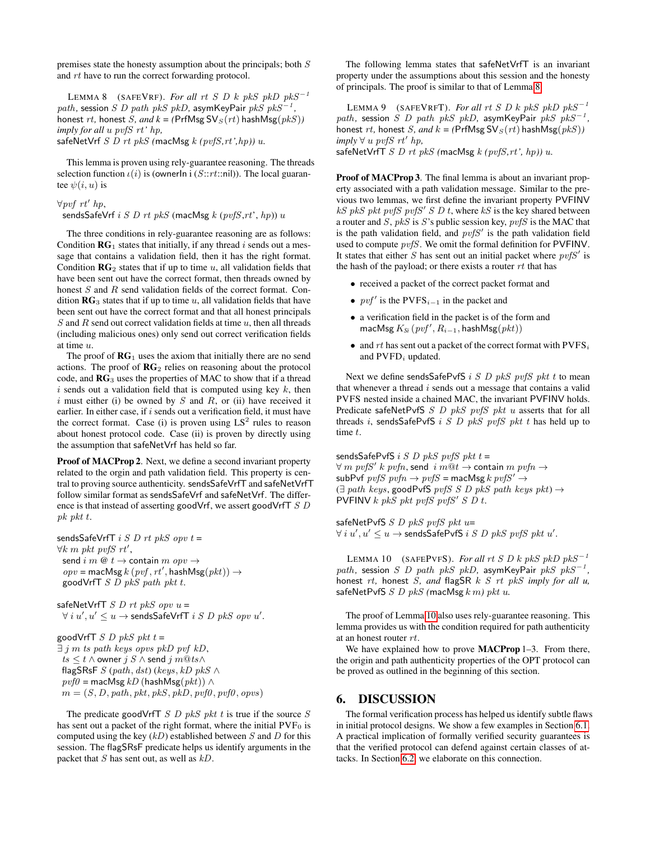premises state the honesty assumption about the principals; both S and rt have to run the correct forwarding protocol.

<span id="page-8-1"></span>LEMMA 8 (SAFEVRF). For all rt S D k pkS pkD  $pkS^{-1}$  $path$ , session  $S$   $D$   $path$   $pkS$   $pkD$ , asymKeyPair  $pkS$   $pkS^{-1}$ , honest *rt*, honest *S*, and  $k = (PrfMsgSV<sub>S</sub>(rt)$  hash $Msg(pkS)$ ) *imply for all* u pvfS rt*'* hp*,* safeNetVrf S D rt pkS *(*macMsg k *(*pvfS*,*rt*',*hp*))* u*.*

This lemma is proven using rely-guarantee reasoning. The threads selection function  $\iota(i)$  is (ownerIn i (S::rt::nil)). The local guarantee  $\psi(i, u)$  is

 $\forall p \nu f$  rt' hp,

sendsSafeVrf i S D rt pkS (macMsg  $k$  (pvfS,rt', hp)) u

The three conditions in rely-guarantee reasoning are as follows: Condition  $\mathbf{RG}_{1}$  states that initially, if any thread i sends out a message that contains a validation field, then it has the right format. Condition  $\mathbf{RG}_{2}$  states that if up to time u, all validation fields that have been sent out have the correct format, then threads owned by honest S and R send validation fields of the correct format. Condition  $\mathbf{RG}_3$  states that if up to time u, all validation fields that have been sent out have the correct format and that all honest principals  $S$  and  $R$  send out correct validation fields at time  $u$ , then all threads (including malicious ones) only send out correct verification fields at time u.

The proof of  $\mathbf{RG}_1$  uses the axiom that initially there are no send actions. The proof of  $\mathbf{RG}_2$  relies on reasoning about the protocol code, and  $\mathbf{RG}_3$  uses the properties of MAC to show that if a thread  $i$  sends out a validation field that is computed using key  $k$ , then i must either (i) be owned by  $S$  and  $R$ , or (ii) have received it earlier. In either case, if  $i$  sends out a verification field, it must have the correct format. Case (i) is proven using  $LS^2$  rules to reason about honest protocol code. Case (ii) is proven by directly using the assumption that safeNetVrf has held so far.

Proof of MACProp 2. Next, we define a second invariant property related to the orgin and path validation field. This property is central to proving source authenticity. sendsSafeVrfT and safeNetVrfT follow similar format as sendsSafeVrf and safeNetVrf. The difference is that instead of asserting goodVrf, we assert goodVrfT  $S$   $D$ pk pkt t.

sendsSafeVrfT i S D rt pkS opv  $t =$  $\forall k \; m \; pkt \; pvfS \; rt',$ send i m @  $t \rightarrow$  contain m opv  $\rightarrow$  $opv = \textsf{macMsg}\, k \, (pvf, rt', \textsf{hashMsg}(pkt)) \rightarrow$ goodVrfT  $S$   $D$   $pkS$   $path$   $pkt$   $t$ .

safeNetVrfT  $S$  D rt pkS opv  $u =$  $\forall i \ u', u' \leq u \rightarrow$  sends $\mathsf{SafeV}$ rt $\top$   $i \ S \ D \ p k S \ opv \ u'.$ 

goodVrfT  $S$  D  $pkS$   $pkt$   $t =$  $\exists j \; m \; ts \; path \; keys \; opvs \; pkD \; pot \; kD,$ ts  $\leq$  t ∧ owner j S ∧ send j m@ts∧ flagSRsF  $S$  (path, dst) (keys, kD pkS  $\wedge$  $pvf0 =$  macMsg  $kD$  (hashMsg $(\text{p}kt)$ ) ∧  $m = (S, D, path, pkt, pkS, pkD, pvf0, pvf0, opvs)$ 

The predicate goodVrfT  $S$  D pkS pkt t is true if the source  $S$ has sent out a packet of the right format, where the initial  $PVF<sub>0</sub>$  is computed using the key  $(kD)$  established between S and D for this session. The flagSRsF predicate helps us identify arguments in the packet that  $S$  has sent out, as well as  $kD$ .

The following lemma states that safeNetVrfT is an invariant property under the assumptions about this session and the honesty of principals. The proof is similar to that of Lemma [8.](#page-8-1)

LEMMA 9 (SAFEVRFT). *For all rt S D k pkS pkD pkS*<sup> $-1$ </sup> path, session S D path pkS pkD, asymKeyPair pkS pkS<sup>-1</sup>, honest *rt*, honest *S*, and  $k = (PrfMsgSV<sub>S</sub>(rt)$  hash $Msg(pkS)$ )  $imply \forall u \; p \in S \; rt' \; hp$ safeNetVrfT S D rt pkS *(*macMsg k *(*pvfS*,*rt*',* hp*))* u*.*

Proof of MACProp 3. The final lemma is about an invariant property associated with a path validation message. Similar to the previous two lemmas, we first define the invariant property PVFINV kS pkS pkt pvfS pvfS' S D t, where kS is the key shared between a router and  $S$ ,  $pkS$  is  $S$ 's public session key,  $pvfS$  is the MAC that is the path validation field, and  $pvfS'$  is the path validation field used to compute pvfS. We omit the formal definition for PVFINV. It states that either  $S$  has sent out an initial packet where  $\text{pvfS}'$  is the hash of the payload; or there exists a router  $rt$  that has

- received a packet of the correct packet format and
- pvf' is the PVFS<sub>i-1</sub> in the packet and
- a verification field in the packet is of the form and  $\mathsf{macMsg}\, K_{\mathit{Si}}\left(\mathit{pvf}', R_{i-1}, \mathsf{hashMsg}(\mathit{pkt})\right)$
- and  $rt$  has sent out a packet of the correct format with  $PVFS<sub>i</sub>$ and  $PVFD_i$  updated.

Next we define sendsSafePvfS  $i S D p k S p v f S p k t t$  to mean that whenever a thread  $i$  sends out a message that contains a valid PVFS nested inside a chained MAC, the invariant PVFINV holds. Predicate safeNetPvfS S D pkS pvfS pkt u asserts that for all threads  $i$ , sendsSafePvfS  $i S D p k S p v f S p k t t$  has held up to time t.

sendsSafePvfS i S D pkS pvfS pkt  $t =$  $\forall m \; p v f S' \; k \; p v f n$ , send  $i \; m @ t \to \text{contain} \; m \; p v f n \to \text{in} \; m$ subPvf  $pvfS$   $pvfn \rightarrow pvfS =$  macMsg  $k$   $pvfS' \rightarrow$  $(\exists$  path keys, goodPvfS pvfS S D pkS path keys pkt)  $\rightarrow$ PVFINV  $k$  p $kS$  p $k$ t pvfS pvfS' S D t.

safeNetPvfS  $S$  D pkS pvfS pkt  $u=$  $\forall i u', u' \leq u \rightarrow$  sends $\widehat{\mathsf{SafeP}}$ vf $\mathsf{S} \textit{ } i \textit{ } S \textit{ } D \textit{ } pkS \textit{ } p v f S \textit{ } pkt \textit{ } u'.$ 

<span id="page-8-2"></span>LEMMA 10 (SAFEPVFS). *For all* rt S D k pkS pkD  $pkS^{-1}$ path, session S D path pkS pkD, asymKeyPair pkS pkS<sup>-1</sup>, honest rt*,* honest S*, and* flagSR k S rt pkS *imply for all u,* safeNetPvfS S D pkS *(*macMsg k m*)* pkt u*.*

The proof of Lemma [10](#page-8-2) also uses rely-guarantee reasoning. This lemma provides us with the condition required for path authenticity at an honest router rt.

We have explained how to prove **MACProp** 1–3. From there, the origin and path authenticity properties of the OPT protocol can be proved as outlined in the beginning of this section.

### <span id="page-8-0"></span>6. DISCUSSION

The formal verification process has helped us identify subtle flaws in initial protocol designs. We show a few examples in Section [6.1.](#page-9-1) A practical implication of formally verified security guarantees is that the verified protocol can defend against certain classes of attacks. In Section [6.2,](#page-9-2) we elaborate on this connection.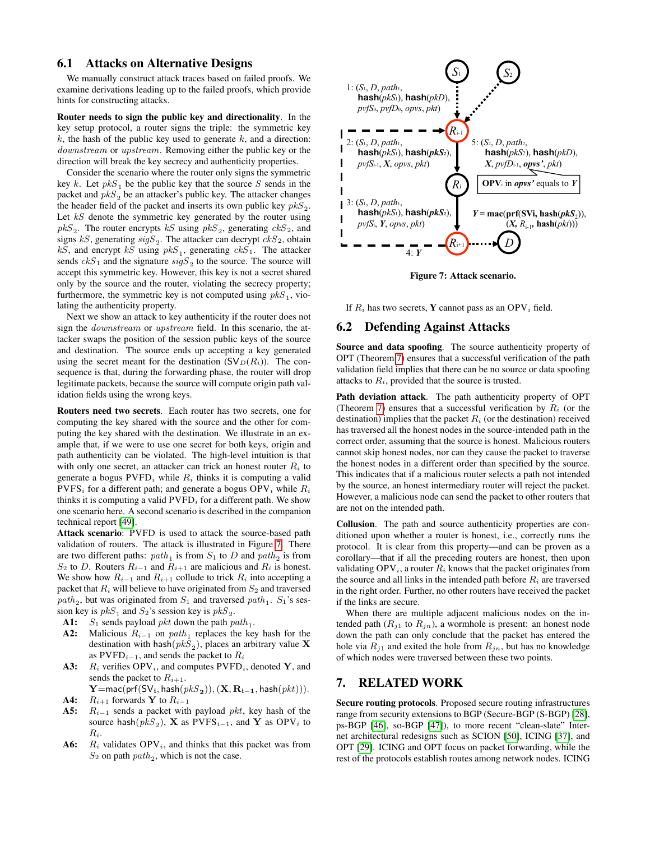### <span id="page-9-1"></span>6.1 Attacks on Alternative Designs

We manually construct attack traces based on failed proofs. We examine derivations leading up to the failed proofs, which provide hints for constructing attacks.

Router needs to sign the public key and directionality. In the key setup protocol, a router signs the triple: the symmetric key  $k$ , the hash of the public key used to generate  $k$ , and a direction: downstream or upstream. Removing either the public key or the direction will break the key secrecy and authenticity properties.

Consider the scenario where the router only signs the symmetric key k. Let  $pkS_1$  be the public key that the source S sends in the packet and  $pkS_2$  be an attacker's public key. The attacker changes the header field of the packet and inserts its own public key  $pkS_2$ . Let  $kS$  denote the symmetric key generated by the router using  $pkS_2$ . The router encrypts kS using  $pkS_2$ , generating  $ckS_2$ , and signs  $kS$ , generating  $sigS_2$ . The attacker can decrypt  $ckS_2$ , obtain  $kS$ , and encrypt  $kS$  using  $pkS<sub>1</sub>$ , generating  $ckS<sub>1</sub>$ . The attacker sends  $ckS_1$  and the signature  $sigS_2$  to the source. The source will accept this symmetric key. However, this key is not a secret shared only by the source and the router, violating the secrecy property; furthermore, the symmetric key is not computed using  $pkS_1$ , violating the authenticity property.

Next we show an attack to key authenticity if the router does not sign the downstream or upstream field. In this scenario, the attacker swaps the position of the session public keys of the source and destination. The source ends up accepting a key generated using the secret meant for the destination  $(SV_D(R_i))$ . The consequence is that, during the forwarding phase, the router will drop legitimate packets, because the source will compute origin path validation fields using the wrong keys.

Routers need two secrets. Each router has two secrets, one for computing the key shared with the source and the other for computing the key shared with the destination. We illustrate in an example that, if we were to use one secret for both keys, origin and path authenticity can be violated. The high-level intuition is that with only one secret, an attacker can trick an honest router  $R_i$  to generate a bogus  $PVFD_i$  while  $R_i$  thinks it is computing a valid PVFS<sub>i</sub> for a different path; and generate a bogus  $\text{OPV}_i$  while  $R_i$ thinks it is computing a valid  $PVFD<sub>i</sub>$  for a different path. We show one scenario here. A second scenario is described in the companion technical report [\[49\]](#page-11-13).

Attack scenario: PVFD is used to attack the source-based path validation of routers. The attack is illustrated in Figure [7.](#page-9-3) There are two different paths:  $path_1$  is from  $S_1$  to D and  $path_2$  is from  $S_2$  to D. Routers  $R_{i-1}$  and  $R_{i+1}$  are malicious and  $R_i$  is honest. We show how  $R_{i-1}$  and  $R_{i+1}$  collude to trick  $R_i$  into accepting a packet that  $R_i$  will believe to have originated from  $S_2$  and traversed  $path_2$ , but was originated from  $S_1$  and traversed path<sub>1</sub>.  $S_1$ 's session key is  $pkS_1$  and  $S_2$ 's session key is  $pkS_2$ .

**A1:**  $S_1$  sends payload *pkt* down the path  $path_1$ .

- **A2:** Malicious  $R_{i-1}$  on path<sub>1</sub> replaces the key hash for the destination with hash $(pkS_2)$ , places an arbitrary value **X** as  $PVFD_{i-1}$ , and sends the packet to  $R_i$
- A3:  $R_i$  verifies OPV<sub>i</sub>, and computes PVFD<sub>i</sub>, denoted Y, and sends the packet to  $R_{i+1}$ .

 $\mathbf{Y}\mathsf{=}\mathsf{mac}(\mathsf{prf}(\mathsf{SV}_{\mathbf{i}},\mathsf{hash}(\mathit{pkS}_{\mathbf{2}})),(\mathbf{X},\mathbf{R}_{\mathbf{i}-\mathbf{1}},\mathsf{hash}(\mathit{pkt}))).$ 

- **A4:**  $R_{i+1}$  forwards **Y** to  $R_{i-1}$
- A5:  $R_{i-1}$  sends a packet with payload *pkt*, key hash of the source hash $(pkS_2)$ , **X** as PVFS<sub>i-1</sub>, and **Y** as OPV<sub>i</sub> to Ri.
- **A6:**  $R_i$  validates OPV<sub>i</sub>, and thinks that this packet was from  $S_2$  on path  $path_2$ , which is not the case.



<span id="page-9-3"></span>Figure 7: Attack scenario.

If  $R_i$  has two secrets, Y cannot pass as an OPV<sub>i</sub> field.

# <span id="page-9-2"></span>6.2 Defending Against Attacks

Source and data spoofing. The source authenticity property of OPT (Theorem [7\)](#page-7-1) ensures that a successful verification of the path validation field implies that there can be no source or data spoofing attacks to  $R_i$ , provided that the source is trusted.

Path deviation attack. The path authenticity property of OPT (Theorem [7\)](#page-7-1) ensures that a successful verification by  $R_i$  (or the destination) implies that the packet  $R_i$  (or the destination) received has traversed all the honest nodes in the source-intended path in the correct order, assuming that the source is honest. Malicious routers cannot skip honest nodes, nor can they cause the packet to traverse the honest nodes in a different order than specified by the source. This indicates that if a malicious router selects a path not intended by the source, an honest intermediary router will reject the packet. However, a malicious node can send the packet to other routers that are not on the intended path.

Collusion. The path and source authenticity properties are conditioned upon whether a router is honest, i.e., correctly runs the protocol. It is clear from this property—and can be proven as a corollary—that if all the preceding routers are honest, then upon validating OPV<sub>i</sub>, a router  $R_i$  knows that the packet originates from the source and all links in the intended path before  $R_i$  are traversed in the right order. Further, no other routers have received the packet if the links are secure.

When there are multiple adjacent malicious nodes on the intended path  $(R_{j1}$  to  $R_{jn}$ ), a wormhole is present: an honest node down the path can only conclude that the packet has entered the hole via  $R_{j1}$  and exited the hole from  $R_{jn}$ , but has no knowledge of which nodes were traversed between these two points.

# <span id="page-9-0"></span>7. RELATED WORK

Secure routing protocols. Proposed secure routing infrastructures range from security extensions to BGP (Secure-BGP (S-BGP) [\[28\]](#page-11-14), ps-BGP [\[46\]](#page-11-15), so-BGP [\[47\]](#page-11-16)), to more recent "clean-slate" Internet architectural redesigns such as SCION [\[50\]](#page-11-17), ICING [\[37\]](#page-11-4), and OPT [\[29\]](#page-11-12). ICING and OPT focus on packet forwarding, while the rest of the protocols establish routes among network nodes. ICING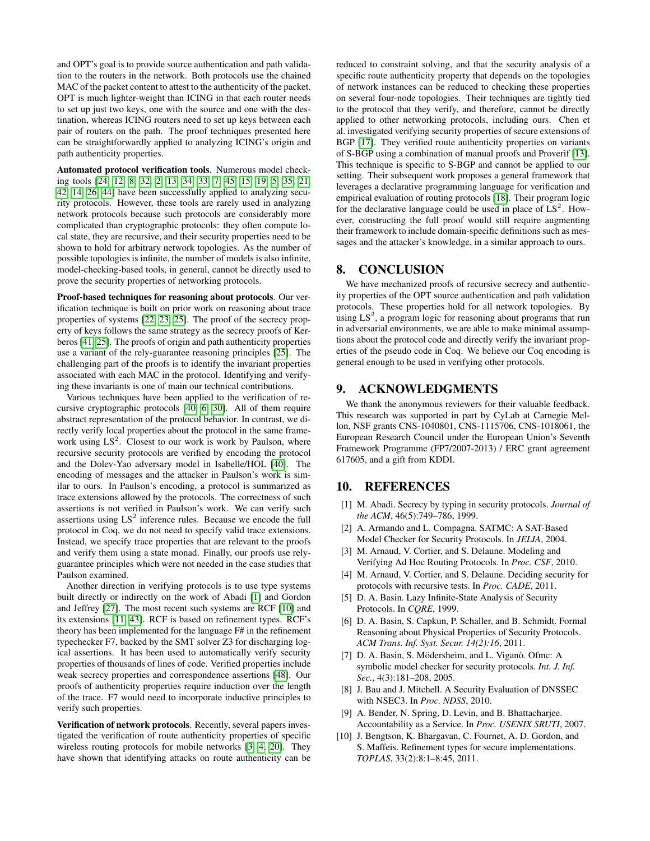and OPT's goal is to provide source authentication and path validation to the routers in the network. Both protocols use the chained MAC of the packet content to attest to the authenticity of the packet. OPT is much lighter-weight than ICING in that each router needs to set up just two keys, one with the source and one with the destination, whereas ICING routers need to set up keys between each pair of routers on the path. The proof techniques presented here can be straightforwardly applied to analyzing ICING's origin and path authenticity properties.

Automated protocol verification tools. Numerous model checking tools [\[24,](#page-11-18) [12,](#page-11-19) [8,](#page-10-1) [32,](#page-11-20) [2,](#page-10-2) [13,](#page-11-21) [34,](#page-11-22) [33,](#page-11-23) [7,](#page-10-3) [45,](#page-11-24) [15,](#page-11-25) [19,](#page-11-26) [5,](#page-10-4) [35,](#page-11-27) [21,](#page-11-28) [42,](#page-11-29) [14,](#page-11-30) [26,](#page-11-31) [44\]](#page-11-32) have been successfully applied to analyzing security protocols. However, these tools are rarely used in analyzing network protocols because such protocols are considerably more complicated than cryptographic protocols: they often compute local state, they are recursive, and their security properties need to be shown to hold for arbitrary network topologies. As the number of possible topologies is infinite, the number of models is also infinite, model-checking-based tools, in general, cannot be directly used to prove the security properties of networking protocols.

Proof-based techniques for reasoning about protocols. Our verification technique is built on prior work on reasoning about trace properties of systems [\[22,](#page-11-6) [23,](#page-11-7) [25\]](#page-11-8). The proof of the secrecy property of keys follows the same strategy as the secrecy proofs of Kerberos [\[41,](#page-11-10) [25\]](#page-11-8). The proofs of origin and path authenticity properties use a variant of the rely-guarantee reasoning principles [\[25\]](#page-11-8). The challenging part of the proofs is to identify the invariant properties associated with each MAC in the protocol. Identifying and verifying these invariants is one of main our technical contributions.

Various techniques have been applied to the verification of recursive cryptographic protocols [\[40,](#page-11-9) [6,](#page-10-5) [30\]](#page-11-33). All of them require abstract representation of the protocol behavior. In contrast, we directly verify local properties about the protocol in the same framework using  $LS<sup>2</sup>$ . Closest to our work is work by Paulson, where recursive security protocols are verified by encoding the protocol and the Dolev-Yao adversary model in Isabelle/HOL [\[40\]](#page-11-9). The encoding of messages and the attacker in Paulson's work is similar to ours. In Paulson's encoding, a protocol is summarized as trace extensions allowed by the protocols. The correctness of such assertions is not verified in Paulson's work. We can verify such assertions using  $LS^2$  inference rules. Because we encode the full protocol in Coq, we do not need to specify valid trace extensions. Instead, we specify trace properties that are relevant to the proofs and verify them using a state monad. Finally, our proofs use relyguarantee principles which were not needed in the case studies that Paulson examined.

Another direction in verifying protocols is to use type systems built directly or indirectly on the work of Abadi [\[1\]](#page-10-6) and Gordon and Jeffrey [\[27\]](#page-11-34). The most recent such systems are RCF [\[10\]](#page-10-7) and its extensions [\[11,](#page-11-35) [43\]](#page-11-36). RCF is based on refinement types. RCF's theory has been implemented for the language F# in the refinement typechecker F7, backed by the SMT solver Z3 for discharging logical assertions. It has been used to automatically verify security properties of thousands of lines of code. Verified properties include weak secrecy properties and correspondence assertions [\[48\]](#page-11-37). Our proofs of authenticity properties require induction over the length of the trace. F7 would need to incorporate inductive principles to verify such properties.

Verification of network protocols. Recently, several papers investigated the verification of route authenticity properties of specific wireless routing protocols for mobile networks [\[3,](#page-10-8) [4,](#page-10-9) [20\]](#page-11-5). They have shown that identifying attacks on route authenticity can be reduced to constraint solving, and that the security analysis of a specific route authenticity property that depends on the topologies of network instances can be reduced to checking these properties on several four-node topologies. Their techniques are tightly tied to the protocol that they verify, and therefore, cannot be directly applied to other networking protocols, including ours. Chen et al. investigated verifying security properties of secure extensions of BGP [\[17\]](#page-11-38). They verified route authenticity properties on variants of S-BGP using a combination of manual proofs and Proverif [\[13\]](#page-11-21). This technique is specific to S-BGP and cannot be applied to our setting. Their subsequent work proposes a general framework that leverages a declarative programming language for verification and empirical evaluation of routing protocols [\[18\]](#page-11-39). Their program logic for the declarative language could be used in place of  $LS<sup>2</sup>$ . However, constructing the full proof would still require augmenting their framework to include domain-specific definitions such as messages and the attacker's knowledge, in a similar approach to ours.

### 8. CONCLUSION

We have mechanized proofs of recursive secrecy and authenticity properties of the OPT source authentication and path validation protocols. These properties hold for all network topologies. By using  $LS<sup>2</sup>$ , a program logic for reasoning about programs that run in adversarial environments, we are able to make minimal assumptions about the protocol code and directly verify the invariant properties of the pseudo code in Coq. We believe our Coq encoding is general enough to be used in verifying other protocols.

### 9. ACKNOWLEDGMENTS

We thank the anonymous reviewers for their valuable feedback. This research was supported in part by CyLab at Carnegie Mellon, NSF grants CNS-1040801, CNS-1115706, CNS-1018061, the European Research Council under the European Union's Seventh Framework Programme (FP7/2007-2013) / ERC grant agreement 617605, and a gift from KDDI.

### 10. REFERENCES

- <span id="page-10-6"></span>[1] M. Abadi. Secrecy by typing in security protocols. *Journal of the ACM*, 46(5):749–786, 1999.
- <span id="page-10-2"></span>[2] A. Armando and L. Compagna. SATMC: A SAT-Based Model Checker for Security Protocols. In *JELIA*, 2004.
- <span id="page-10-8"></span>[3] M. Arnaud, V. Cortier, and S. Delaune. Modeling and Verifying Ad Hoc Routing Protocols. In *Proc. CSF*, 2010.
- <span id="page-10-9"></span>[4] M. Arnaud, V. Cortier, and S. Delaune. Deciding security for protocols with recursive tests. In *Proc. CADE*, 2011.
- <span id="page-10-4"></span>[5] D. A. Basin. Lazy Infinite-State Analysis of Security Protocols. In *CQRE*, 1999.
- <span id="page-10-5"></span>[6] D. A. Basin, S. Capkun, P. Schaller, and B. Schmidt. Formal Reasoning about Physical Properties of Security Protocols. *ACM Trans. Inf. Syst. Secur. 14(2):16*, 2011.
- <span id="page-10-3"></span>[7] D. A. Basin, S. Mödersheim, and L. Viganò. Ofmc: A symbolic model checker for security protocols. *Int. J. Inf. Sec.*, 4(3):181–208, 2005.
- <span id="page-10-1"></span>[8] J. Bau and J. Mitchell. A Security Evaluation of DNSSEC with NSEC3. In *Proc. NDSS*, 2010.
- <span id="page-10-0"></span>[9] A. Bender, N. Spring, D. Levin, and B. Bhattacharjee. Accountability as a Service. In *Proc. USENIX SRUTI*, 2007.
- <span id="page-10-7"></span>[10] J. Bengtson, K. Bhargavan, C. Fournet, A. D. Gordon, and S. Maffeis. Refinement types for secure implementations. *TOPLAS*, 33(2):8:1–8:45, 2011.